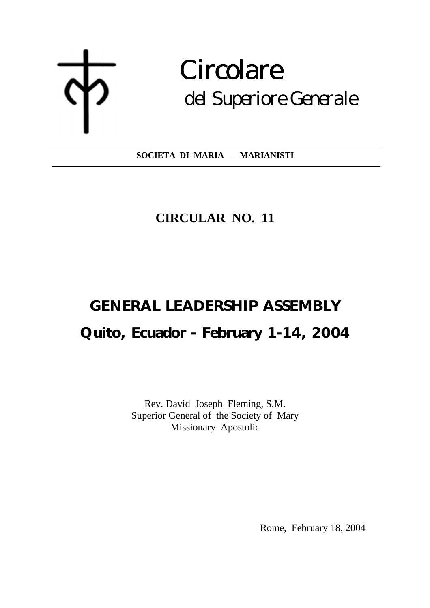$\overline{a}$ 

# Circolare del Superiore Generale

**SOCIETA DI MARIA - MARIANISTI**   $\overline{a}$ 

### **CIRCULAR NO. 11**

## **GENERAL LEADERSHIP ASSEMBLY Quito, Ecuador - February 1-14, 2004**

Rev. David Joseph Fleming, S.M. Superior General of the Society of Mary Missionary Apostolic

Rome, February 18, 2004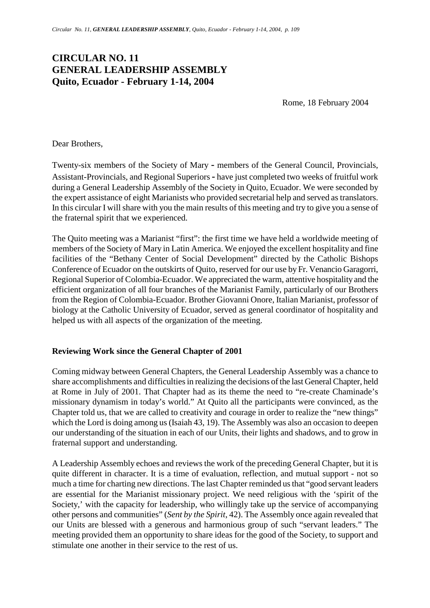### **CIRCULAR NO. 11 GENERAL LEADERSHIP ASSEMBLY Quito, Ecuador - February 1-14, 2004**

Rome, 18 February 2004

Dear Brothers,

Twenty-six members of the Society of Mary **-** members of the General Council, Provincials, Assistant-Provincials, and Regional Superiors **-** have just completed two weeks of fruitful work during a General Leadership Assembly of the Society in Quito, Ecuador. We were seconded by the expert assistance of eight Marianists who provided secretarial help and served as translators. In this circular I will share with you the main results of this meeting and try to give you a sense of the fraternal spirit that we experienced.

The Quito meeting was a Marianist "first": the first time we have held a worldwide meeting of members of the Society of Mary in Latin America. We enjoyed the excellent hospitality and fine facilities of the "Bethany Center of Social Development" directed by the Catholic Bishops Conference of Ecuador on the outskirts of Quito, reserved for our use by Fr. Venancio Garagorri, Regional Superior of Colombia-Ecuador. We appreciated the warm, attentive hospitality and the efficient organization of all four branches of the Marianist Family, particularly of our Brothers from the Region of Colombia-Ecuador. Brother Giovanni Onore, Italian Marianist, professor of biology at the Catholic University of Ecuador, served as general coordinator of hospitality and helped us with all aspects of the organization of the meeting.

#### **Reviewing Work since the General Chapter of 2001**

Coming midway between General Chapters, the General Leadership Assembly was a chance to share accomplishments and difficulties in realizing the decisions of the last General Chapter, held at Rome in July of 2001. That Chapter had as its theme the need to "re-create Chaminade's missionary dynamism in today's world." At Quito all the participants were convinced, as the Chapter told us, that we are called to creativity and courage in order to realize the "new things" which the Lord is doing among us (Isaiah 43, 19). The Assembly was also an occasion to deepen our understanding of the situation in each of our Units, their lights and shadows, and to grow in fraternal support and understanding.

A Leadership Assembly echoes and reviews the work of the preceding General Chapter, but it is quite different in character. It is a time of evaluation, reflection, and mutual support - not so much a time for charting new directions. The last Chapter reminded us that "good servant leaders are essential for the Marianist missionary project. We need religious with the 'spirit of the Society,' with the capacity for leadership, who willingly take up the service of accompanying other persons and communities" (*Sent by the Spirit*, 42). The Assembly once again revealed that our Units are blessed with a generous and harmonious group of such "servant leaders." The meeting provided them an opportunity to share ideas for the good of the Society, to support and stimulate one another in their service to the rest of us.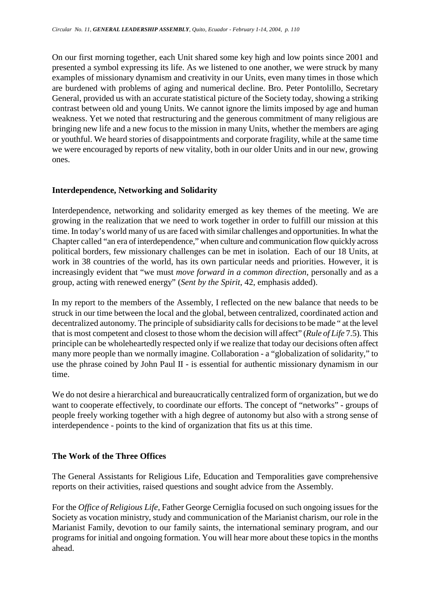On our first morning together, each Unit shared some key high and low points since 2001 and presented a symbol expressing its life. As we listened to one another, we were struck by many examples of missionary dynamism and creativity in our Units, even many times in those which are burdened with problems of aging and numerical decline. Bro. Peter Pontolillo, Secretary General, provided us with an accurate statistical picture of the Society today, showing a striking contrast between old and young Units. We cannot ignore the limits imposed by age and human weakness. Yet we noted that restructuring and the generous commitment of many religious are bringing new life and a new focus to the mission in many Units, whether the members are aging or youthful. We heard stories of disappointments and corporate fragility, while at the same time we were encouraged by reports of new vitality, both in our older Units and in our new, growing ones.

#### **Interdependence, Networking and Solidarity**

Interdependence, networking and solidarity emerged as key themes of the meeting. We are growing in the realization that we need to work together in order to fulfill our mission at this time. In today's world many of us are faced with similar challenges and opportunities. In what the Chapter called "an era of interdependence," when culture and communication flow quickly across political borders, few missionary challenges can be met in isolation. Each of our 18 Units, at work in 38 countries of the world, has its own particular needs and priorities. However, it is increasingly evident that "we must *move forward in a common direction*, personally and as a group, acting with renewed energy" (*Sent by the Spirit*, 42, emphasis added).

In my report to the members of the Assembly, I reflected on the new balance that needs to be struck in our time between the local and the global, between centralized, coordinated action and decentralized autonomy. The principle of subsidiarity calls for decisions to be made " at the level that is most competent and closest to those whom the decision will affect" (*Rule of Life* 7.5). This principle can be wholeheartedly respected only if we realize that today our decisions often affect many more people than we normally imagine. Collaboration - a "globalization of solidarity," to use the phrase coined by John Paul II - is essential for authentic missionary dynamism in our time.

We do not desire a hierarchical and bureaucratically centralized form of organization, but we do want to cooperate effectively, to coordinate our efforts. The concept of "networks" - groups of people freely working together with a high degree of autonomy but also with a strong sense of interdependence - points to the kind of organization that fits us at this time.

#### **The Work of the Three Offices**

The General Assistants for Religious Life, Education and Temporalities gave comprehensive reports on their activities, raised questions and sought advice from the Assembly.

For the *Office of Religious Life*, Father George Cerniglia focused on such ongoing issues for the Society as vocation ministry, study and communication of the Marianist charism, our role in the Marianist Family, devotion to our family saints, the international seminary program, and our programs for initial and ongoing formation. You will hear more about these topics in the months ahead.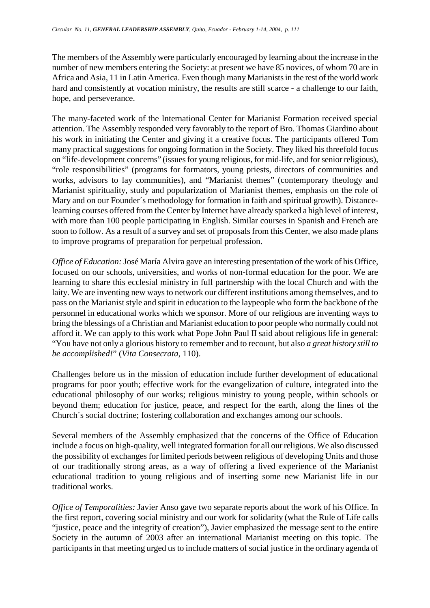The members of the Assembly were particularly encouraged by learning about the increase in the number of new members entering the Society: at present we have 85 novices, of whom 70 are in Africa and Asia, 11 in Latin America. Even though many Marianists in the rest of the world work hard and consistently at vocation ministry, the results are still scarce - a challenge to our faith, hope, and perseverance.

The many-faceted work of the International Center for Marianist Formation received special attention. The Assembly responded very favorably to the report of Bro. Thomas Giardino about his work in initiating the Center and giving it a creative focus. The participants offered Tom many practical suggestions for ongoing formation in the Society. They liked his threefold focus on "life-development concerns" (issues for young religious, for mid-life, and for senior religious), "role responsibilities" (programs for formators, young priests, directors of communities and works, advisors to lay communities), and "Marianist themes" (contemporary theology and Marianist spirituality, study and popularization of Marianist themes, emphasis on the role of Mary and on our Founder´s methodology for formation in faith and spiritual growth). Distancelearning courses offered from the Center by Internet have already sparked a high level of interest, with more than 100 people participating in English. Similar courses in Spanish and French are soon to follow. As a result of a survey and set of proposals from this Center, we also made plans to improve programs of preparation for perpetual profession.

*Office of Education:* José María Alvira gave an interesting presentation of the work of his Office, focused on our schools, universities, and works of non-formal education for the poor. We are learning to share this ecclesial ministry in full partnership with the local Church and with the laity. We are inventing new ways to network our different institutions among themselves, and to pass on the Marianist style and spirit in education to the laypeople who form the backbone of the personnel in educational works which we sponsor. More of our religious are inventing ways to bring the blessings of a Christian and Marianist education to poor people who normally could not afford it. We can apply to this work what Pope John Paul II said about religious life in general: "You have not only a glorious history to remember and to recount, but also *a great history still to be accomplished!*" (*Vita Consecrata,* 110).

Challenges before us in the mission of education include further development of educational programs for poor youth; effective work for the evangelization of culture, integrated into the educational philosophy of our works; religious ministry to young people, within schools or beyond them; education for justice, peace, and respect for the earth, along the lines of the Church´s social doctrine; fostering collaboration and exchanges among our schools.

Several members of the Assembly emphasized that the concerns of the Office of Education include a focus on high-quality, well integrated formation for all our religious. We also discussed the possibility of exchanges for limited periods between religious of developing Units and those of our traditionally strong areas, as a way of offering a lived experience of the Marianist educational tradition to young religious and of inserting some new Marianist life in our traditional works.

*Office of Temporalities:* Javier Anso gave two separate reports about the work of his Office. In the first report, covering social ministry and our work for solidarity (what the Rule of Life calls "justice, peace and the integrity of creation"), Javier emphasized the message sent to the entire Society in the autumn of 2003 after an international Marianist meeting on this topic. The participants in that meeting urged us to include matters of social justice in the ordinary agenda of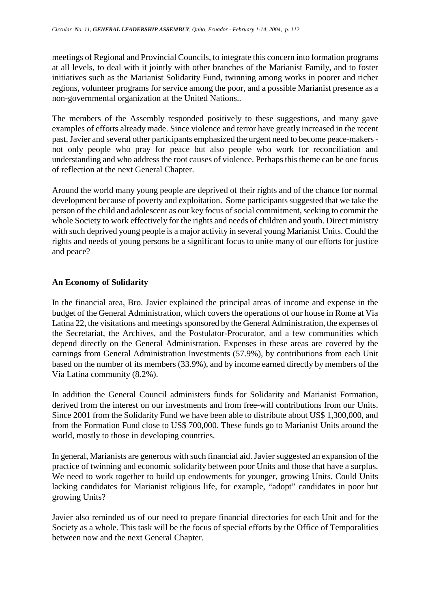meetings of Regional and Provincial Councils, to integrate this concern into formation programs at all levels, to deal with it jointly with other branches of the Marianist Family, and to foster initiatives such as the Marianist Solidarity Fund, twinning among works in poorer and richer regions, volunteer programs for service among the poor, and a possible Marianist presence as a non-governmental organization at the United Nations..

The members of the Assembly responded positively to these suggestions, and many gave examples of efforts already made. Since violence and terror have greatly increased in the recent past, Javier and several other participants emphasized the urgent need to become peace-makers not only people who pray for peace but also people who work for reconciliation and understanding and who address the root causes of violence. Perhaps this theme can be one focus of reflection at the next General Chapter.

Around the world many young people are deprived of their rights and of the chance for normal development because of poverty and exploitation. Some participants suggested that we take the person of the child and adolescent as our key focus of social commitment, seeking to commit the whole Society to work effectively for the rights and needs of children and youth. Direct ministry with such deprived young people is a major activity in several young Marianist Units. Could the rights and needs of young persons be a significant focus to unite many of our efforts for justice and peace?

#### **An Economy of Solidarity**

In the financial area, Bro. Javier explained the principal areas of income and expense in the budget of the General Administration, which covers the operations of our house in Rome at Via Latina 22, the visitations and meetings sponsored by the General Administration, the expenses of the Secretariat, the Archives, and the Postulator-Procurator, and a few communities which depend directly on the General Administration. Expenses in these areas are covered by the earnings from General Administration Investments (57.9%), by contributions from each Unit based on the number of its members (33.9%), and by income earned directly by members of the Via Latina community (8.2%).

In addition the General Council administers funds for Solidarity and Marianist Formation, derived from the interest on our investments and from free-will contributions from our Units. Since 2001 from the Solidarity Fund we have been able to distribute about US\$ 1,300,000, and from the Formation Fund close to US\$ 700,000. These funds go to Marianist Units around the world, mostly to those in developing countries.

In general, Marianists are generous with such financial aid. Javier suggested an expansion of the practice of twinning and economic solidarity between poor Units and those that have a surplus. We need to work together to build up endowments for younger, growing Units. Could Units lacking candidates for Marianist religious life, for example, "adopt" candidates in poor but growing Units?

Javier also reminded us of our need to prepare financial directories for each Unit and for the Society as a whole. This task will be the focus of special efforts by the Office of Temporalities between now and the next General Chapter.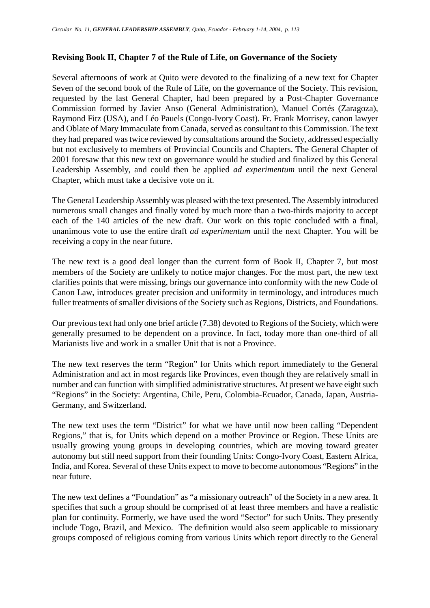#### **Revising Book II, Chapter 7 of the Rule of Life, on Governance of the Society**

Several afternoons of work at Quito were devoted to the finalizing of a new text for Chapter Seven of the second book of the Rule of Life, on the governance of the Society. This revision, requested by the last General Chapter, had been prepared by a Post-Chapter Governance Commission formed by Javier Anso (General Administration), Manuel Cortés (Zaragoza), Raymond Fitz (USA), and Léo Pauels (Congo-Ivory Coast). Fr. Frank Morrisey, canon lawyer and Oblate of Mary Immaculate from Canada, served as consultant to this Commission. The text they had prepared was twice reviewed by consultations around the Society, addressed especially but not exclusively to members of Provincial Councils and Chapters. The General Chapter of 2001 foresaw that this new text on governance would be studied and finalized by this General Leadership Assembly, and could then be applied *ad experimentum* until the next General Chapter, which must take a decisive vote on it.

The General Leadership Assembly was pleased with the text presented. The Assembly introduced numerous small changes and finally voted by much more than a two-thirds majority to accept each of the 140 articles of the new draft. Our work on this topic concluded with a final, unanimous vote to use the entire draft *ad experimentum* until the next Chapter. You will be receiving a copy in the near future.

The new text is a good deal longer than the current form of Book II, Chapter 7, but most members of the Society are unlikely to notice major changes. For the most part, the new text clarifies points that were missing, brings our governance into conformity with the new Code of Canon Law, introduces greater precision and uniformity in terminology, and introduces much fuller treatments of smaller divisions of the Society such as Regions, Districts, and Foundations.

Our previous text had only one brief article (7.38) devoted to Regions of the Society, which were generally presumed to be dependent on a province. In fact, today more than one-third of all Marianists live and work in a smaller Unit that is not a Province.

The new text reserves the term "Region" for Units which report immediately to the General Administration and act in most regards like Provinces, even though they are relatively small in number and can function with simplified administrative structures. At present we have eight such "Regions" in the Society: Argentina, Chile, Peru, Colombia-Ecuador, Canada, Japan, Austria-Germany, and Switzerland.

The new text uses the term "District" for what we have until now been calling "Dependent Regions," that is, for Units which depend on a mother Province or Region. These Units are usually growing young groups in developing countries, which are moving toward greater autonomy but still need support from their founding Units: Congo-Ivory Coast, Eastern Africa, India, and Korea. Several of these Units expect to move to become autonomous "Regions" in the near future.

The new text defines a "Foundation" as "a missionary outreach" of the Society in a new area. It specifies that such a group should be comprised of at least three members and have a realistic plan for continuity. Formerly, we have used the word "Sector" for such Units. They presently include Togo, Brazil, and Mexico. The definition would also seem applicable to missionary groups composed of religious coming from various Units which report directly to the General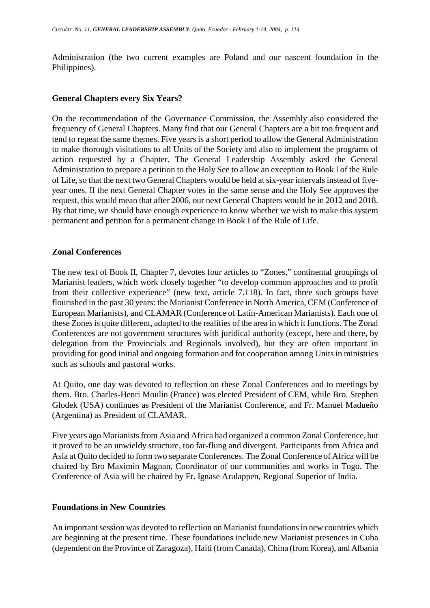Administration (the two current examples are Poland and our nascent foundation in the Philippines).

#### **General Chapters every Six Years?**

On the recommendation of the Governance Commission, the Assembly also considered the frequency of General Chapters. Many find that our General Chapters are a bit too frequent and tend to repeat the same themes. Five years is a short period to allow the General Administration to make thorough visitations to all Units of the Society and also to implement the programs of action requested by a Chapter. The General Leadership Assembly asked the General Administration to prepare a petition to the Holy See to allow an exception to Book I of the Rule of Life, so that the next two General Chapters would be held at six-year intervals instead of fiveyear ones. If the next General Chapter votes in the same sense and the Holy See approves the request, this would mean that after 2006, our next General Chapters would be in 2012 and 2018. By that time, we should have enough experience to know whether we wish to make this system permanent and petition for a permanent change in Book I of the Rule of Life.

#### **Zonal Conferences**

The new text of Book II, Chapter 7, devotes four articles to "Zones," continental groupings of Marianist leaders, which work closely together "to develop common approaches and to profit from their collective experience" (new text, article 7.118). In fact, three such groups have flourished in the past 30 years: the Marianist Conference in North America, CEM (Conference of European Marianists), and CLAMAR (Conference of Latin-American Marianists). Each one of these Zones is quite different, adapted to the realities of the area in which it functions. The Zonal Conferences are not government structures with juridical authority (except, here and there, by delegation from the Provincials and Regionals involved), but they are often important in providing for good initial and ongoing formation and for cooperation among Units in ministries such as schools and pastoral works.

At Quito, one day was devoted to reflection on these Zonal Conferences and to meetings by them. Bro. Charles-Henri Moulin (France) was elected President of CEM, while Bro. Stephen Glodek (USA) continues as President of the Marianist Conference, and Fr. Manuel Madueño (Argentina) as President of CLAMAR.

Five years ago Marianists from Asia and Africa had organized a common Zonal Conference, but it proved to be an unwieldy structure, too far-flung and divergent. Participants from Africa and Asia at Quito decided to form two separate Conferences. The Zonal Conference of Africa will be chaired by Bro Maximin Magnan, Coordinator of our communities and works in Togo. The Conference of Asia will be chaired by Fr. Ignase Arulappen, Regional Superior of India.

#### **Foundations in New Countries**

An important session was devoted to reflection on Marianist foundations in new countries which are beginning at the present time. These foundations include new Marianist presences in Cuba (dependent on the Province of Zaragoza), Haiti (from Canada), China (from Korea), and Albania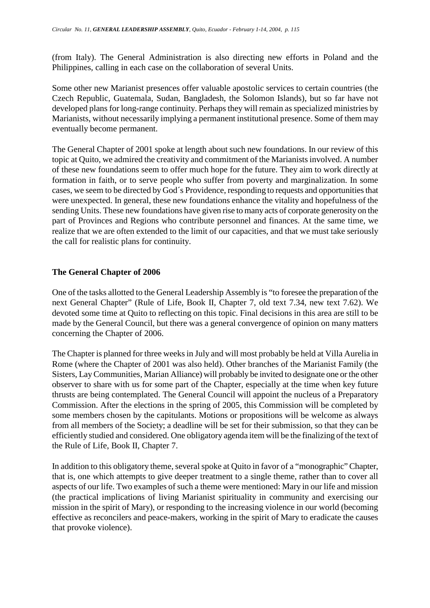(from Italy). The General Administration is also directing new efforts in Poland and the Philippines, calling in each case on the collaboration of several Units.

Some other new Marianist presences offer valuable apostolic services to certain countries (the Czech Republic, Guatemala, Sudan, Bangladesh, the Solomon Islands), but so far have not developed plans for long-range continuity. Perhaps they will remain as specialized ministries by Marianists, without necessarily implying a permanent institutional presence. Some of them may eventually become permanent.

The General Chapter of 2001 spoke at length about such new foundations. In our review of this topic at Quito, we admired the creativity and commitment of the Marianists involved. A number of these new foundations seem to offer much hope for the future. They aim to work directly at formation in faith, or to serve people who suffer from poverty and marginalization. In some cases, we seem to be directed by God´s Providence, responding to requests and opportunities that were unexpected. In general, these new foundations enhance the vitality and hopefulness of the sending Units. These new foundations have given rise to many acts of corporate generosity on the part of Provinces and Regions who contribute personnel and finances. At the same time, we realize that we are often extended to the limit of our capacities, and that we must take seriously the call for realistic plans for continuity.

#### **The General Chapter of 2006**

One of the tasks allotted to the General Leadership Assembly is "to foresee the preparation of the next General Chapter" (Rule of Life, Book II, Chapter 7, old text 7.34, new text 7.62). We devoted some time at Quito to reflecting on this topic. Final decisions in this area are still to be made by the General Council, but there was a general convergence of opinion on many matters concerning the Chapter of 2006.

The Chapter is planned for three weeks in July and will most probably be held at Villa Aurelia in Rome (where the Chapter of 2001 was also held). Other branches of the Marianist Family (the Sisters, Lay Communities, Marian Alliance) will probably be invited to designate one or the other observer to share with us for some part of the Chapter, especially at the time when key future thrusts are being contemplated. The General Council will appoint the nucleus of a Preparatory Commission. After the elections in the spring of 2005, this Commission will be completed by some members chosen by the capitulants. Motions or propositions will be welcome as always from all members of the Society; a deadline will be set for their submission, so that they can be efficiently studied and considered. One obligatory agenda item will be the finalizing of the text of the Rule of Life, Book II, Chapter 7.

In addition to this obligatory theme, several spoke at Quito in favor of a "monographic" Chapter, that is, one which attempts to give deeper treatment to a single theme, rather than to cover all aspects of our life. Two examples of such a theme were mentioned: Mary in our life and mission (the practical implications of living Marianist spirituality in community and exercising our mission in the spirit of Mary), or responding to the increasing violence in our world (becoming effective as reconcilers and peace-makers, working in the spirit of Mary to eradicate the causes that provoke violence).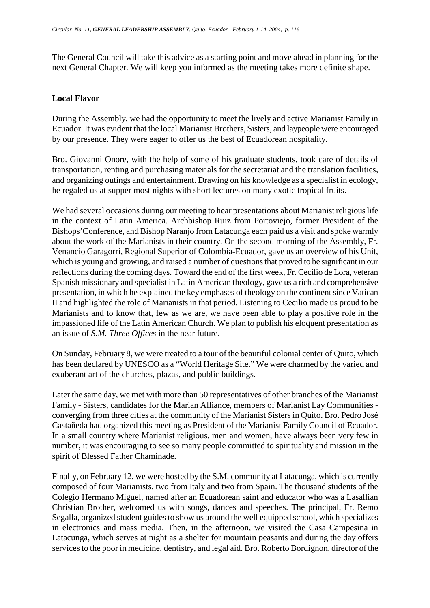The General Council will take this advice as a starting point and move ahead in planning for the next General Chapter. We will keep you informed as the meeting takes more definite shape.

#### **Local Flavor**

During the Assembly, we had the opportunity to meet the lively and active Marianist Family in Ecuador. It was evident that the local Marianist Brothers, Sisters, and laypeople were encouraged by our presence. They were eager to offer us the best of Ecuadorean hospitality.

Bro. Giovanni Onore, with the help of some of his graduate students, took care of details of transportation, renting and purchasing materials for the secretariat and the translation facilities, and organizing outings and entertainment. Drawing on his knowledge as a specialist in ecology, he regaled us at supper most nights with short lectures on many exotic tropical fruits.

We had several occasions during our meeting to hear presentations about Marianist religious life in the context of Latin America. Archbishop Ruiz from Portoviejo, former President of the Bishops'Conference, and Bishop Naranjo from Latacunga each paid us a visit and spoke warmly about the work of the Marianists in their country. On the second morning of the Assembly, Fr. Venancio Garagorri, Regional Superior of Colombia-Ecuador, gave us an overview of his Unit, which is young and growing, and raised a number of questions that proved to be significant in our reflections during the coming days. Toward the end of the first week, Fr. Cecilio de Lora, veteran Spanish missionary and specialist in Latin American theology, gave us a rich and comprehensive presentation, in which he explained the key emphases of theology on the continent since Vatican II and highlighted the role of Marianists in that period. Listening to Cecilio made us proud to be Marianists and to know that, few as we are, we have been able to play a positive role in the impassioned life of the Latin American Church. We plan to publish his eloquent presentation as an issue of *S.M. Three Offices* in the near future.

On Sunday, February 8, we were treated to a tour of the beautiful colonial center of Quito, which has been declared by UNESCO as a "World Heritage Site." We were charmed by the varied and exuberant art of the churches, plazas, and public buildings.

Later the same day, we met with more than 50 representatives of other branches of the Marianist Family - Sisters, candidates for the Marian Alliance, members of Marianist Lay Communities converging from three cities at the community of the Marianist Sisters in Quito. Bro. Pedro José Castañeda had organized this meeting as President of the Marianist Family Council of Ecuador. In a small country where Marianist religious, men and women, have always been very few in number, it was encouraging to see so many people committed to spirituality and mission in the spirit of Blessed Father Chaminade.

Finally, on February 12, we were hosted by the S.M. community at Latacunga, which is currently composed of four Marianists, two from Italy and two from Spain. The thousand students of the Colegio Hermano Miguel, named after an Ecuadorean saint and educator who was a Lasallian Christian Brother, welcomed us with songs, dances and speeches. The principal, Fr. Remo Segalla, organized student guides to show us around the well equipped school, which specializes in electronics and mass media. Then, in the afternoon, we visited the Casa Campesina in Latacunga, which serves at night as a shelter for mountain peasants and during the day offers services to the poor in medicine, dentistry, and legal aid. Bro. Roberto Bordignon, director of the